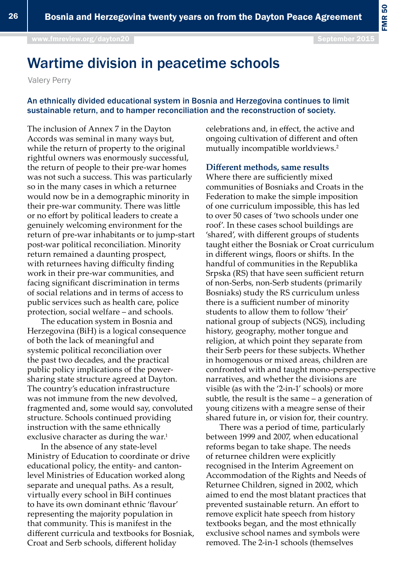## Wartime division in peacetime schools

Valery Perry

## An ethnically divided educational system in Bosnia and Herzegovina continues to limit sustainable return, and to hamper reconciliation and the reconstruction of society.

The inclusion of Annex 7 in the Dayton Accords was seminal in many ways but, while the return of property to the original rightful owners was enormously successful, the return of people to their pre-war homes was not such a success. This was particularly so in the many cases in which a returnee would now be in a demographic minority in their pre-war community. There was little or no effort by political leaders to create a genuinely welcoming environment for the return of pre-war inhabitants or to jump-start post-war political reconciliation. Minority return remained a daunting prospect, with returnees having difficulty finding work in their pre-war communities, and facing significant discrimination in terms of social relations and in terms of access to public services such as health care, police protection, social welfare – and schools.

The education system in Bosnia and Herzegovina (BiH) is a logical consequence of both the lack of meaningful and systemic political reconciliation over the past two decades, and the practical public policy implications of the powersharing state structure agreed at Dayton. The country's education infrastructure was not immune from the new devolved, fragmented and, some would say, convoluted structure. Schools continued providing instruction with the same ethnically exclusive character as during the war.<sup>1</sup>

In the absence of any state-level Ministry of Education to coordinate or drive educational policy, the entity- and cantonlevel Ministries of Education worked along separate and unequal paths. As a result, virtually every school in BiH continues to have its own dominant ethnic 'flavour' representing the majority population in that community. This is manifest in the different curricula and textbooks for Bosniak, Croat and Serb schools, different holiday

celebrations and, in effect, the active and ongoing cultivation of different and often mutually incompatible worldviews.2

## **Different methods, same results**

Where there are sufficiently mixed communities of Bosniaks and Croats in the Federation to make the simple imposition of one curriculum impossible, this has led to over 50 cases of 'two schools under one roof'. In these cases school buildings are 'shared', with different groups of students taught either the Bosniak or Croat curriculum in different wings, floors or shifts. In the handful of communities in the Republika Srpska (RS) that have seen sufficient return of non-Serbs, non-Serb students (primarily Bosniaks) study the RS curriculum unless there is a sufficient number of minority students to allow them to follow 'their' national group of subjects (NGS), including history, geography, mother tongue and religion, at which point they separate from their Serb peers for these subjects. Whether in homogenous or mixed areas, children are confronted with and taught mono-perspective narratives, and whether the divisions are visible (as with the '2-in-1' schools) or more subtle, the result is the same – a generation of young citizens with a meagre sense of their shared future in, or vision for, their country.

There was a period of time, particularly between 1999 and 2007, when educational reforms began to take shape. The needs of returnee children were explicitly recognised in the Interim Agreement on Accommodation of the Rights and Needs of Returnee Children, signed in 2002, which aimed to end the most blatant practices that prevented sustainable return. An effort to remove explicit hate speech from history textbooks began, and the most ethnically exclusive school names and symbols were removed. The 2-in-1 schools (themselves